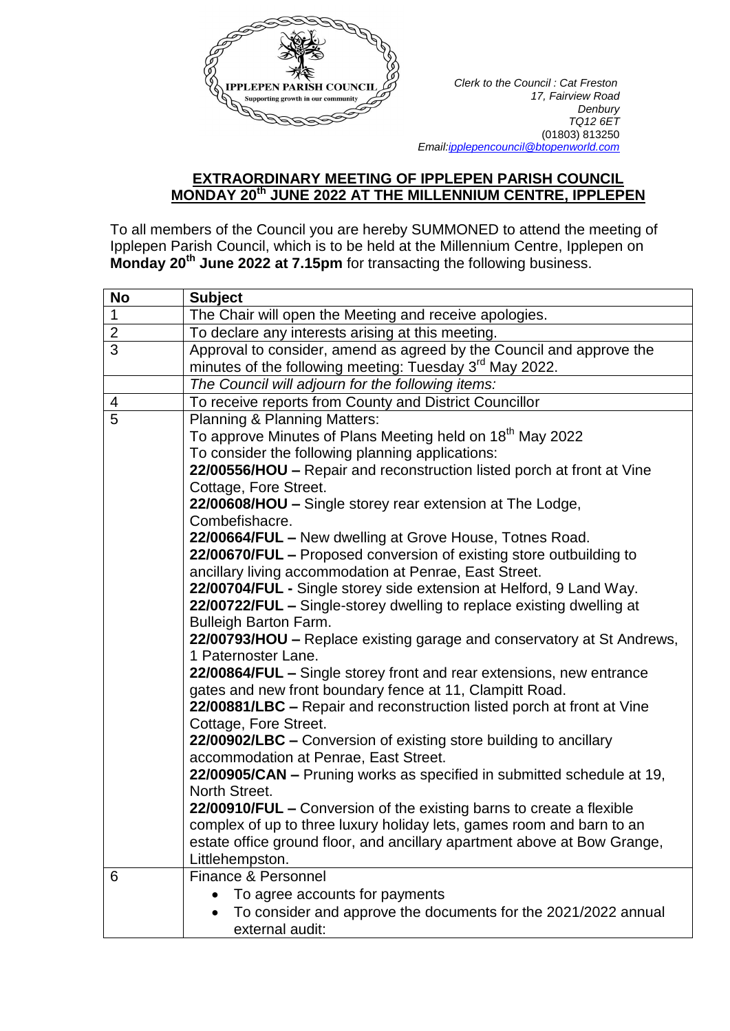

*17, Fairview Road Denbury TQ12 6ET* (01803) 813250  *Emai[l:ipplepencouncil@btopenworld.com](mailto:ipplepencouncil@btopenworld.com)*

## **EXTRAORDINARY MEETING OF IPPLEPEN PARISH COUNCIL MONDAY 20th JUNE 2022 AT THE MILLENNIUM CENTRE, IPPLEPEN**

To all members of the Council you are hereby SUMMONED to attend the meeting of Ipplepen Parish Council, which is to be held at the Millennium Centre, Ipplepen on **Monday 20th June 2022 at 7.15pm** for transacting the following business.

| <b>No</b>                | <b>Subject</b>                                                                                |
|--------------------------|-----------------------------------------------------------------------------------------------|
| $\mathbf 1$              | The Chair will open the Meeting and receive apologies.                                        |
| $\overline{2}$           | To declare any interests arising at this meeting.                                             |
| $\overline{3}$           | Approval to consider, amend as agreed by the Council and approve the                          |
|                          | minutes of the following meeting: Tuesday 3 <sup>rd</sup> May 2022.                           |
|                          | The Council will adjourn for the following items:                                             |
| $\overline{\mathcal{A}}$ | To receive reports from County and District Councillor                                        |
| $\overline{5}$           | Planning & Planning Matters:                                                                  |
|                          | To approve Minutes of Plans Meeting held on 18 <sup>th</sup> May 2022                         |
|                          | To consider the following planning applications:                                              |
|                          | 22/00556/HOU - Repair and reconstruction listed porch at front at Vine                        |
|                          | Cottage, Fore Street.                                                                         |
|                          | 22/00608/HOU - Single storey rear extension at The Lodge,                                     |
|                          | Combefishacre.                                                                                |
|                          | 22/00664/FUL - New dwelling at Grove House, Totnes Road.                                      |
|                          | 22/00670/FUL - Proposed conversion of existing store outbuilding to                           |
|                          | ancillary living accommodation at Penrae, East Street.                                        |
|                          | 22/00704/FUL - Single storey side extension at Helford, 9 Land Way.                           |
|                          | 22/00722/FUL - Single-storey dwelling to replace existing dwelling at                         |
|                          | <b>Bulleigh Barton Farm.</b>                                                                  |
|                          | 22/00793/HOU - Replace existing garage and conservatory at St Andrews,<br>1 Paternoster Lane. |
|                          | 22/00864/FUL – Single storey front and rear extensions, new entrance                          |
|                          | gates and new front boundary fence at 11, Clampitt Road.                                      |
|                          | 22/00881/LBC - Repair and reconstruction listed porch at front at Vine                        |
|                          | Cottage, Fore Street.                                                                         |
|                          | 22/00902/LBC - Conversion of existing store building to ancillary                             |
|                          | accommodation at Penrae, East Street.                                                         |
|                          | 22/00905/CAN - Pruning works as specified in submitted schedule at 19,                        |
|                          | North Street.                                                                                 |
|                          | 22/00910/FUL – Conversion of the existing barns to create a flexible                          |
|                          | complex of up to three luxury holiday lets, games room and barn to an                         |
|                          | estate office ground floor, and ancillary apartment above at Bow Grange,                      |
|                          | Littlehempston.                                                                               |
| 6                        | Finance & Personnel                                                                           |
|                          | To agree accounts for payments                                                                |
|                          | To consider and approve the documents for the 2021/2022 annual                                |
|                          | external audit:                                                                               |